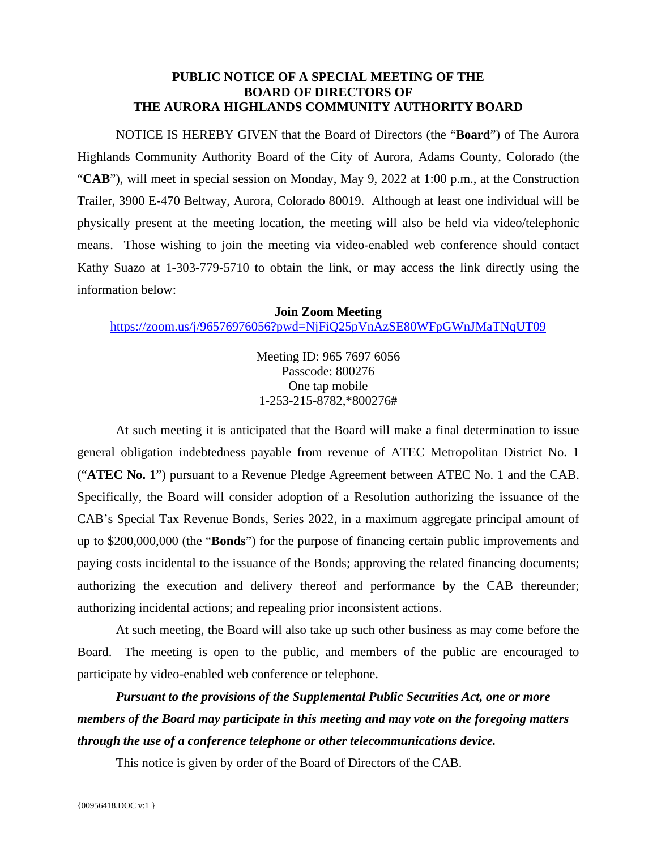## **PUBLIC NOTICE OF A SPECIAL MEETING OF THE BOARD OF DIRECTORS OF THE AURORA HIGHLANDS COMMUNITY AUTHORITY BOARD**

NOTICE IS HEREBY GIVEN that the Board of Directors (the "**Board**") of The Aurora Highlands Community Authority Board of the City of Aurora, Adams County, Colorado (the "**CAB**"), will meet in special session on Monday, May 9, 2022 at 1:00 p.m., at the Construction Trailer, 3900 E-470 Beltway, Aurora, Colorado 80019. Although at least one individual will be physically present at the meeting location, the meeting will also be held via video/telephonic means. Those wishing to join the meeting via video-enabled web conference should contact Kathy Suazo at 1-303-779-5710 to obtain the link, or may access the link directly using the information below:

## **Join Zoom Meeting**

<https://zoom.us/j/96576976056?pwd=NjFiQ25pVnAzSE80WFpGWnJMaTNqUT09>

Meeting ID: 965 7697 6056 Passcode: 800276 One tap mobile 1-253-215-8782,\*800276#

At such meeting it is anticipated that the Board will make a final determination to issue general obligation indebtedness payable from revenue of ATEC Metropolitan District No. 1 ("**ATEC No. 1**") pursuant to a Revenue Pledge Agreement between ATEC No. 1 and the CAB. Specifically, the Board will consider adoption of a Resolution authorizing the issuance of the CAB's Special Tax Revenue Bonds, Series 2022, in a maximum aggregate principal amount of up to \$200,000,000 (the "**Bonds**") for the purpose of financing certain public improvements and paying costs incidental to the issuance of the Bonds; approving the related financing documents; authorizing the execution and delivery thereof and performance by the CAB thereunder; authorizing incidental actions; and repealing prior inconsistent actions.

At such meeting, the Board will also take up such other business as may come before the Board. The meeting is open to the public, and members of the public are encouraged to participate by video-enabled web conference or telephone.

*Pursuant to the provisions of the Supplemental Public Securities Act, one or more members of the Board may participate in this meeting and may vote on the foregoing matters through the use of a conference telephone or other telecommunications device.*

This notice is given by order of the Board of Directors of the CAB.